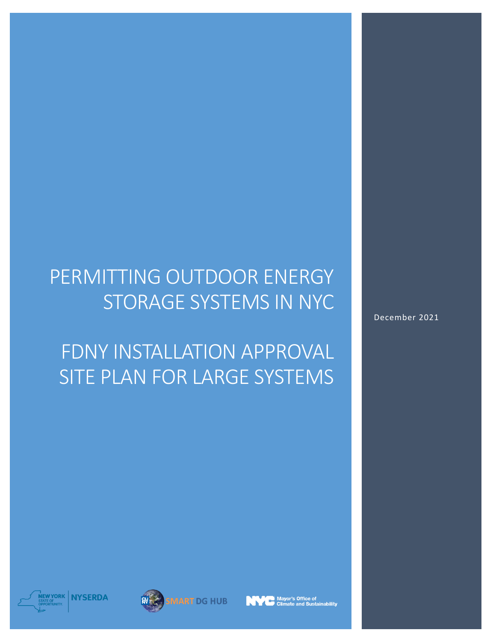# PERMITTING OUTDOOR ENERGY STORAGE SYSTEMS IN NYC

FDNY INSTALLATION APPROVAL SITE PLAN FOR LARGE SYSTEMS December 2021







,<br>Mayor's Office of<br>「Climate and Sustainability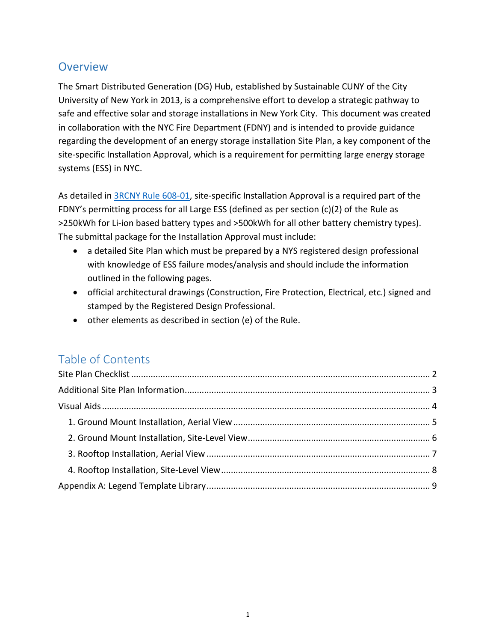# **Overview**

The Smart Distributed Generation (DG) Hub, established by Sustainable CUNY of the City University of New York in 2013, is a comprehensive effort to develop a strategic pathway to safe and effective solar and storage installations in New York City. This document was created in collaboration with the NYC Fire Department (FDNY) and is intended to provide guidance regarding the development of an energy storage installation Site Plan, a key component of the site-specific Installation Approval, which is a requirement for permitting large energy storage systems (ESS) in NYC.

As detailed in **3RCNY Rule 608-01**, site-specific Installation Approval is a required part of the FDNY's permitting process for all Large ESS (defined as per section (c)(2) of the Rule as >250kWh for Li-ion based battery types and >500kWh for all other battery chemistry types). The submittal package for the Installation Approval must include:

- a detailed Site Plan which must be prepared by a NYS registered design professional with knowledge of ESS failure modes/analysis and should include the information outlined in the following pages.
- official architectural drawings (Construction, Fire Protection, Electrical, etc.) signed and stamped by the Registered Design Professional.
- other elements as described in section (e) of the Rule.

# Table of Contents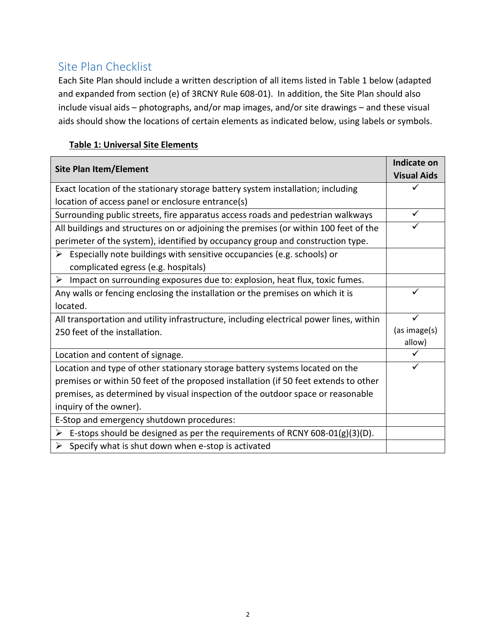# <span id="page-2-0"></span>Site Plan Checklist

Each Site Plan should include a written description of all items listed in Table 1 below (adapted and expanded from section (e) of 3RCNY Rule 608-01). In addition, the Site Plan should also include visual aids – photographs, and/or map images, and/or site drawings – and these visual aids should show the locations of certain elements as indicated below, using labels or symbols.

## **Table 1: Universal Site Elements**

| <b>Site Plan Item/Element</b>                                                                | Indicate on        |
|----------------------------------------------------------------------------------------------|--------------------|
|                                                                                              | <b>Visual Aids</b> |
| Exact location of the stationary storage battery system installation; including              |                    |
| location of access panel or enclosure entrance(s)                                            |                    |
| Surrounding public streets, fire apparatus access roads and pedestrian walkways              |                    |
| All buildings and structures on or adjoining the premises (or within 100 feet of the         |                    |
| perimeter of the system), identified by occupancy group and construction type.               |                    |
| $\triangleright$ Especially note buildings with sensitive occupancies (e.g. schools) or      |                    |
| complicated egress (e.g. hospitals)                                                          |                    |
| $\triangleright$ Impact on surrounding exposures due to: explosion, heat flux, toxic fumes.  |                    |
| Any walls or fencing enclosing the installation or the premises on which it is               |                    |
| located.                                                                                     |                    |
| All transportation and utility infrastructure, including electrical power lines, within      |                    |
| 250 feet of the installation.                                                                | (as image(s)       |
|                                                                                              | allow)             |
| Location and content of signage.                                                             |                    |
| Location and type of other stationary storage battery systems located on the                 |                    |
| premises or within 50 feet of the proposed installation (if 50 feet extends to other         |                    |
| premises, as determined by visual inspection of the outdoor space or reasonable              |                    |
| inquiry of the owner).                                                                       |                    |
| E-Stop and emergency shutdown procedures:                                                    |                    |
| $\triangleright$ E-stops should be designed as per the requirements of RCNY 608-01(g)(3)(D). |                    |
| $\triangleright$ Specify what is shut down when e-stop is activated                          |                    |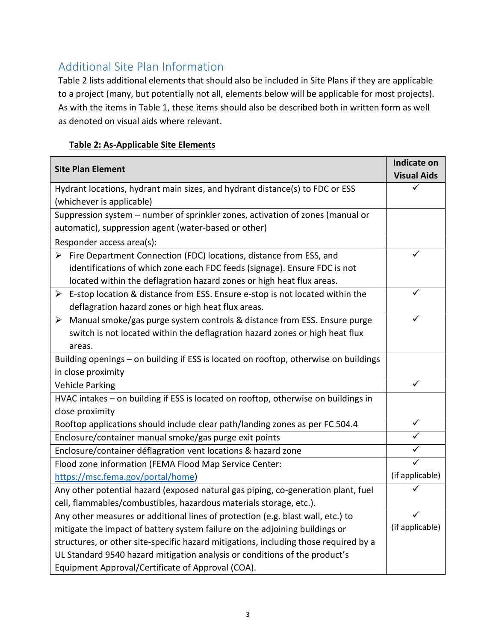# <span id="page-3-0"></span>Additional Site Plan Information

Table 2 lists additional elements that should also be included in Site Plans if they are applicable to a project (many, but potentially not all, elements below will be applicable for most projects). As with the items in Table 1, these items should also be described both in written form as well as denoted on visual aids where relevant.

## **Table 2: As-Applicable Site Elements**

| <b>Site Plan Element</b>                                                                      | Indicate on        |
|-----------------------------------------------------------------------------------------------|--------------------|
|                                                                                               | <b>Visual Aids</b> |
| Hydrant locations, hydrant main sizes, and hydrant distance(s) to FDC or ESS                  |                    |
| (whichever is applicable)                                                                     |                    |
| Suppression system - number of sprinkler zones, activation of zones (manual or                |                    |
| automatic), suppression agent (water-based or other)                                          |                    |
| Responder access area(s):                                                                     |                    |
| $\triangleright$ Fire Department Connection (FDC) locations, distance from ESS, and           |                    |
| identifications of which zone each FDC feeds (signage). Ensure FDC is not                     |                    |
| located within the deflagration hazard zones or high heat flux areas.                         |                    |
| $\triangleright$ E-stop location & distance from ESS. Ensure e-stop is not located within the |                    |
| deflagration hazard zones or high heat flux areas.                                            |                    |
| Manual smoke/gas purge system controls & distance from ESS. Ensure purge<br>➤                 |                    |
| switch is not located within the deflagration hazard zones or high heat flux                  |                    |
| areas.                                                                                        |                    |
| Building openings - on building if ESS is located on rooftop, otherwise on buildings          |                    |
| in close proximity                                                                            |                    |
| <b>Vehicle Parking</b>                                                                        | ✓                  |
| HVAC intakes - on building if ESS is located on rooftop, otherwise on buildings in            |                    |
| close proximity                                                                               |                    |
| Rooftop applications should include clear path/landing zones as per FC 504.4                  | ✓                  |
| Enclosure/container manual smoke/gas purge exit points                                        |                    |
| Enclosure/container déflagration vent locations & hazard zone                                 |                    |
| Flood zone information (FEMA Flood Map Service Center:                                        |                    |
| https://msc.fema.gov/portal/home)                                                             | (if applicable)    |
| Any other potential hazard (exposed natural gas piping, co-generation plant, fuel             |                    |
| cell, flammables/combustibles, hazardous materials storage, etc.).                            |                    |
| Any other measures or additional lines of protection (e.g. blast wall, etc.) to               |                    |
| mitigate the impact of battery system failure on the adjoining buildings or                   | (if applicable)    |
| structures, or other site-specific hazard mitigations, including those required by a          |                    |
| UL Standard 9540 hazard mitigation analysis or conditions of the product's                    |                    |
| Equipment Approval/Certificate of Approval (COA).                                             |                    |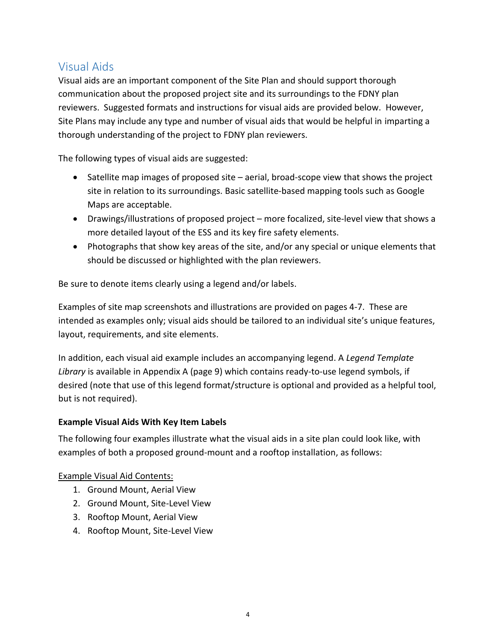# <span id="page-4-0"></span>Visual Aids

Visual aids are an important component of the Site Plan and should support thorough communication about the proposed project site and its surroundings to the FDNY plan reviewers. Suggested formats and instructions for visual aids are provided below. However, Site Plans may include any type and number of visual aids that would be helpful in imparting a thorough understanding of the project to FDNY plan reviewers.

The following types of visual aids are suggested:

- Satellite map images of proposed site aerial, broad-scope view that shows the project site in relation to its surroundings. Basic satellite-based mapping tools such as Google Maps are acceptable.
- Drawings/illustrations of proposed project more focalized, site-level view that shows a more detailed layout of the ESS and its key fire safety elements.
- Photographs that show key areas of the site, and/or any special or unique elements that should be discussed or highlighted with the plan reviewers.

Be sure to denote items clearly using a legend and/or labels.

Examples of site map screenshots and illustrations are provided on pages 4-7. These are intended as examples only; visual aids should be tailored to an individual site's unique features, layout, requirements, and site elements.

In addition, each visual aid example includes an accompanying legend. A *Legend Template Library* is available in Appendix A (page 9) which contains ready-to-use legend symbols, if desired (note that use of this legend format/structure is optional and provided as a helpful tool, but is not required).

#### **Example Visual Aids With Key Item Labels**

The following four examples illustrate what the visual aids in a site plan could look like, with examples of both a proposed ground-mount and a rooftop installation, as follows:

#### Example Visual Aid Contents:

- 1. Ground Mount, Aerial View
- 2. Ground Mount, Site-Level View
- 3. Rooftop Mount, Aerial View
- 4. Rooftop Mount, Site-Level View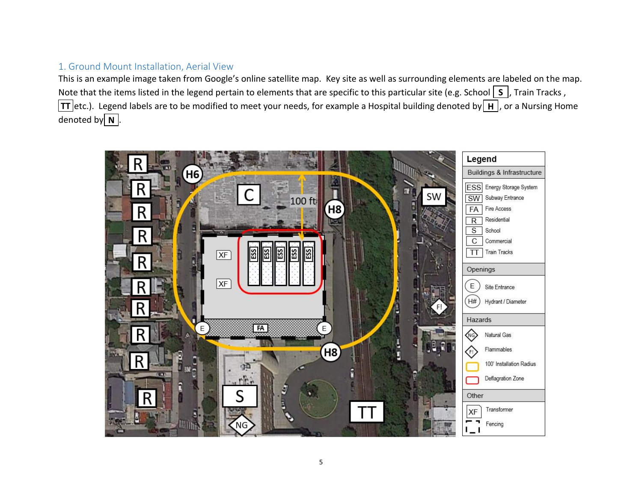## 1. Ground Mount Installation, Aerial View

This is an example image taken from Google's online satellite map. Key site as well as surrounding elements are labeled on the map. Note that the items listed in the legend pertain to elements that are specific to this particular site (e.g. School  $\boxed{\mathsf{S}}$  , Train Tracks , **TT** etc.). Legend labels are to be modified to meet your needs, for example a Hospital building denoted by  $\vert$  **H**  $\vert$ , or a Nursing Home denoted by $\boxed{\mathbf{N}}$  .

<span id="page-5-0"></span>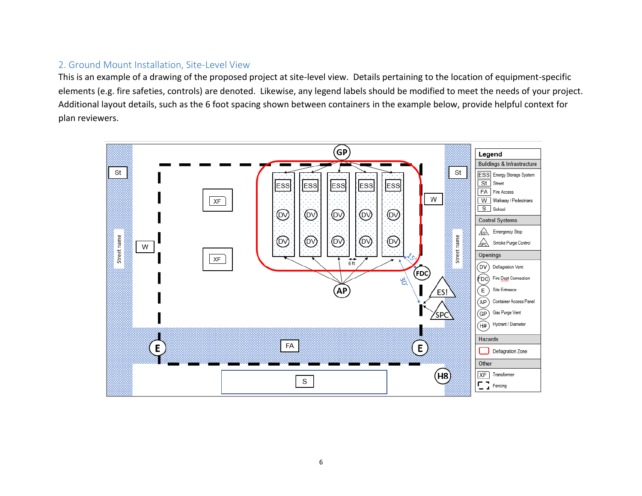### 2. Ground Mount Installation, Site-Level View

This is an example of a drawing of the proposed project at site-level view. Details pertaining to the location of equipment-specific elements (e.g. fire safeties, controls) are denoted. Likewise, any legend labels should be modified to meet the needs of your project. Additional layout details, such as the 6 foot spacing shown between containers in the example below, provide helpful context for plan reviewers.

<span id="page-6-0"></span>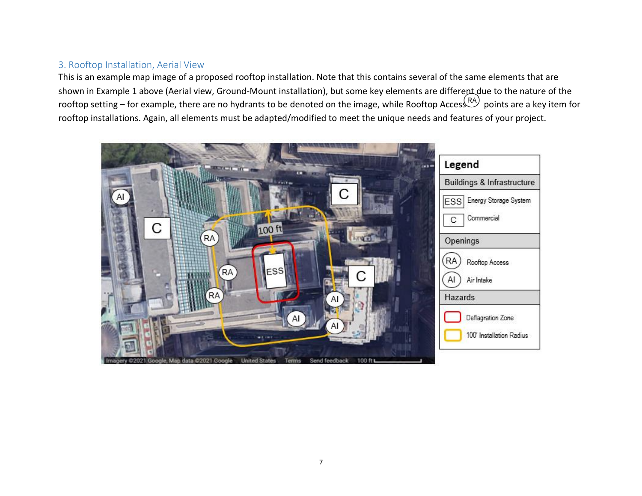## 3. Rooftop Installation, Aerial View

This is an example map image of a proposed rooftop installation. Note that this contains several of the same elements that are shown in Example 1 above (Aerial view, Ground-Mount installation), but some key elements are differept due to the nature of the rooftop setting – for example, there are no hydrants to be denoted on the image, while Rooftop Acces points are a key item for rooftop installations. Again, all elements must be adapted/modified to meet the unique needs and features of your project.

<span id="page-7-0"></span>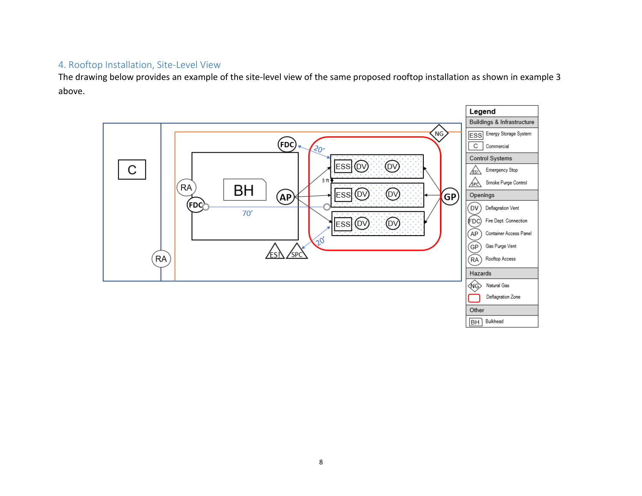## 4. Rooftop Installation, Site-Level View

The drawing below provides an example of the site-level view of the same proposed rooftop installation as shown in example 3 above.

<span id="page-8-0"></span>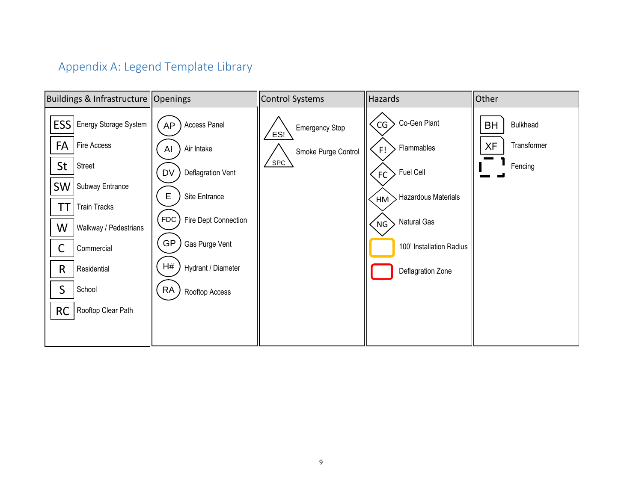# Appendix A: Legend Template Library

<span id="page-9-0"></span>